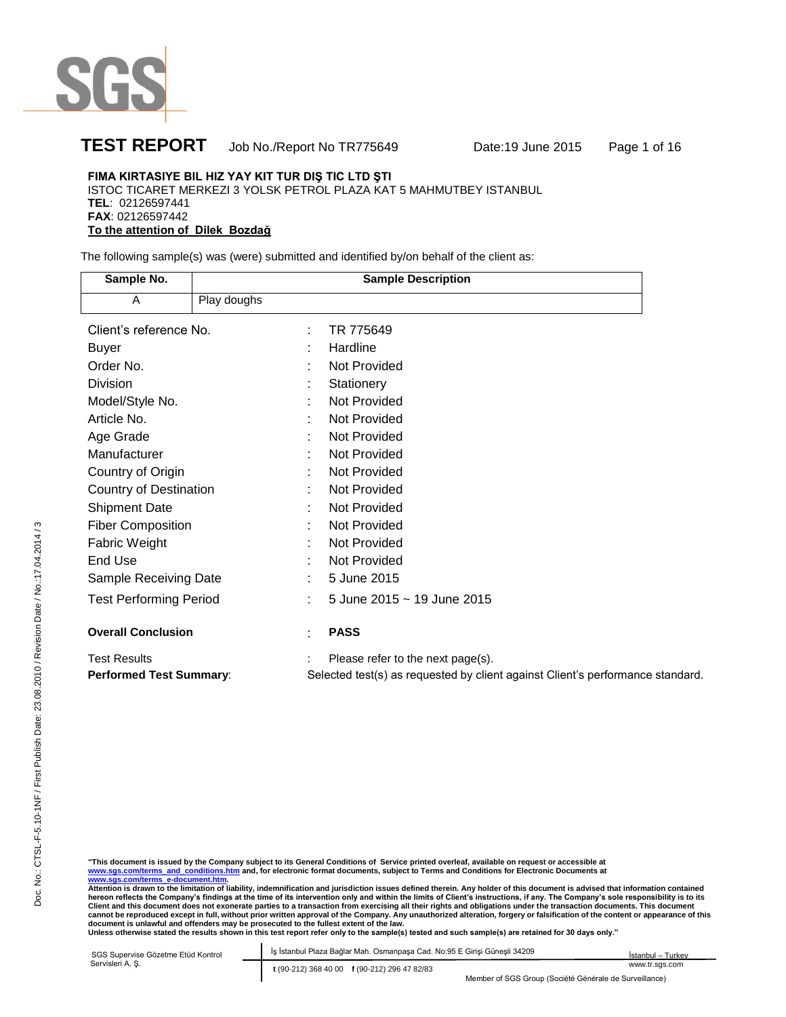

## **TEST REPORT** Job No./Report No TR775649 Date:19 June 2015 Page 1 of 16

## **FIMA KIRTASIYE BIL HIZ YAY KIT TUR DIŞ TIC LTD ŞTI**

ISTOC TICARET MERKEZI 3 YOLSK PETROL PLAZA KAT 5 MAHMUTBEY ISTANBUL **TEL**: 02126597441 **FAX**: 02126597442

**To the attention of Dilek Bozdağ** 

The following sample(s) was (were) submitted and identified by/on behalf of the client as:

| Sample No.                     |             | <b>Sample Description</b>                                                      |
|--------------------------------|-------------|--------------------------------------------------------------------------------|
| A                              | Play doughs |                                                                                |
| Client's reference No.         |             | TR 775649                                                                      |
| <b>Buyer</b>                   |             | Hardline                                                                       |
| Order No.                      |             | Not Provided                                                                   |
| Division                       |             | Stationery                                                                     |
| Model/Style No.                |             | Not Provided                                                                   |
| Article No.                    |             | <b>Not Provided</b>                                                            |
| Age Grade                      |             | Not Provided                                                                   |
| Manufacturer                   |             | Not Provided                                                                   |
| Country of Origin              |             | Not Provided                                                                   |
| Country of Destination         |             | Not Provided                                                                   |
| <b>Shipment Date</b>           |             | <b>Not Provided</b>                                                            |
| <b>Fiber Composition</b>       |             | <b>Not Provided</b>                                                            |
| Fabric Weight                  |             | Not Provided                                                                   |
| End Use                        |             | Not Provided                                                                   |
| Sample Receiving Date          |             | 5 June 2015                                                                    |
| <b>Test Performing Period</b>  |             | 5 June 2015 ~ 19 June 2015                                                     |
| <b>Overall Conclusion</b>      |             | <b>PASS</b>                                                                    |
| <b>Test Results</b>            |             | Please refer to the next page(s).                                              |
| <b>Performed Test Summary:</b> |             | Selected test(s) as requested by client against Client's performance standard. |

"This document is issued by the Company subject to its General Conditions of Service printed overleaf, available on request or accessible at<br><u>www.sqs.com/terms\_a-d\_conditions.htm</u> and, for electronic format documents, subj

| SGS Supervise Gözetme Etüd Kontrol | Is İstanbul Plaza Bağlar Mah. Osmanpaşa Cad. No:95 E Girişi Güneşli 34209 | Istanbul - Turkey |
|------------------------------------|---------------------------------------------------------------------------|-------------------|
| Servisleri A. S.                   | t (90-212) 368 40 00 f (90-212) 296 47 82/83                              | www.tr.sas.com    |
|                                    | Member of SGS Group (Société Générale de Surveillance)                    |                   |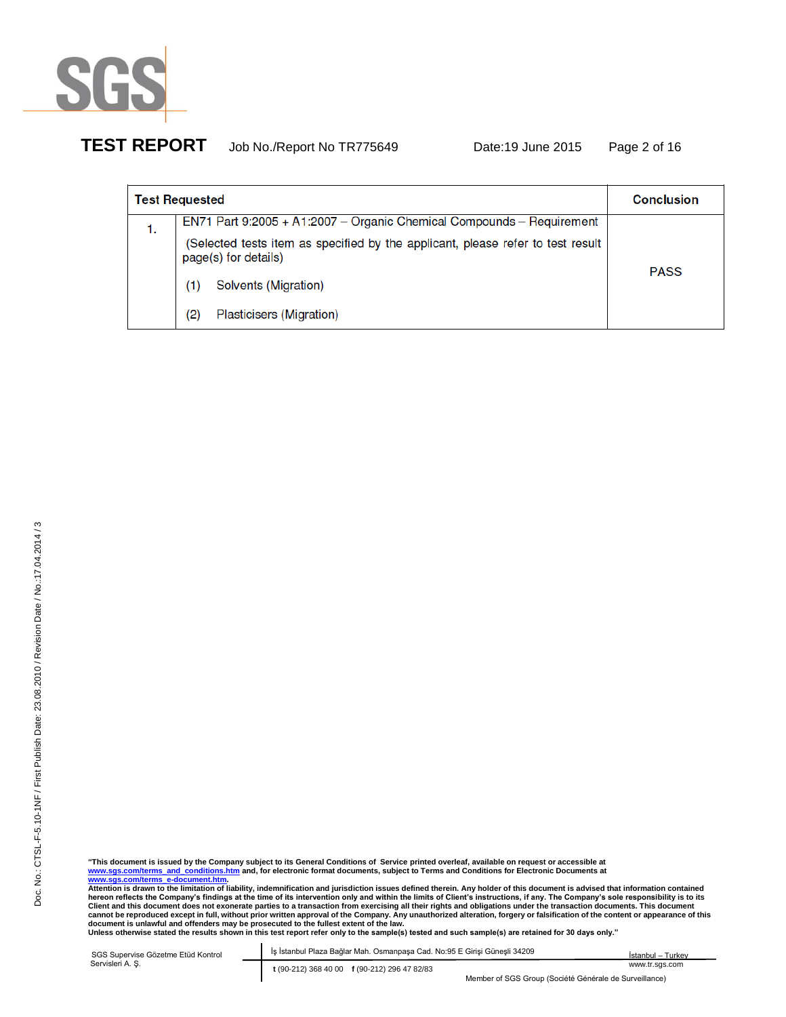

# **TEST REPORT** Job No./Report No TR775649 Date:19 June 2015 Page 2 of 16

|    | <b>Test Requested</b>                                                                                   | <b>Conclusion</b> |
|----|---------------------------------------------------------------------------------------------------------|-------------------|
| 1. | EN71 Part 9:2005 + A1:2007 - Organic Chemical Compounds - Requirement                                   |                   |
|    | (Selected tests item as specified by the applicant, please refer to test result<br>page(s) for details) |                   |
|    | Solvents (Migration)<br>(1)                                                                             | <b>PASS</b>       |
|    | Plasticisers (Migration)<br>(2)                                                                         |                   |

| SGS Supervise Gözetme Etüd Kontrol | İş İstanbul Plaza Bağlar Mah. Osmanpaşa Cad. No:95 E Girisi Günesli 34209 | İstanbul – Turkev |
|------------------------------------|---------------------------------------------------------------------------|-------------------|
| Servisleri A. S.                   | t (90-212) 368 40 00 f (90-212) 296 47 82/83                              | www.tr.sgs.com    |
|                                    | Member of SGS Group (Société Générale de Surveillance)                    |                   |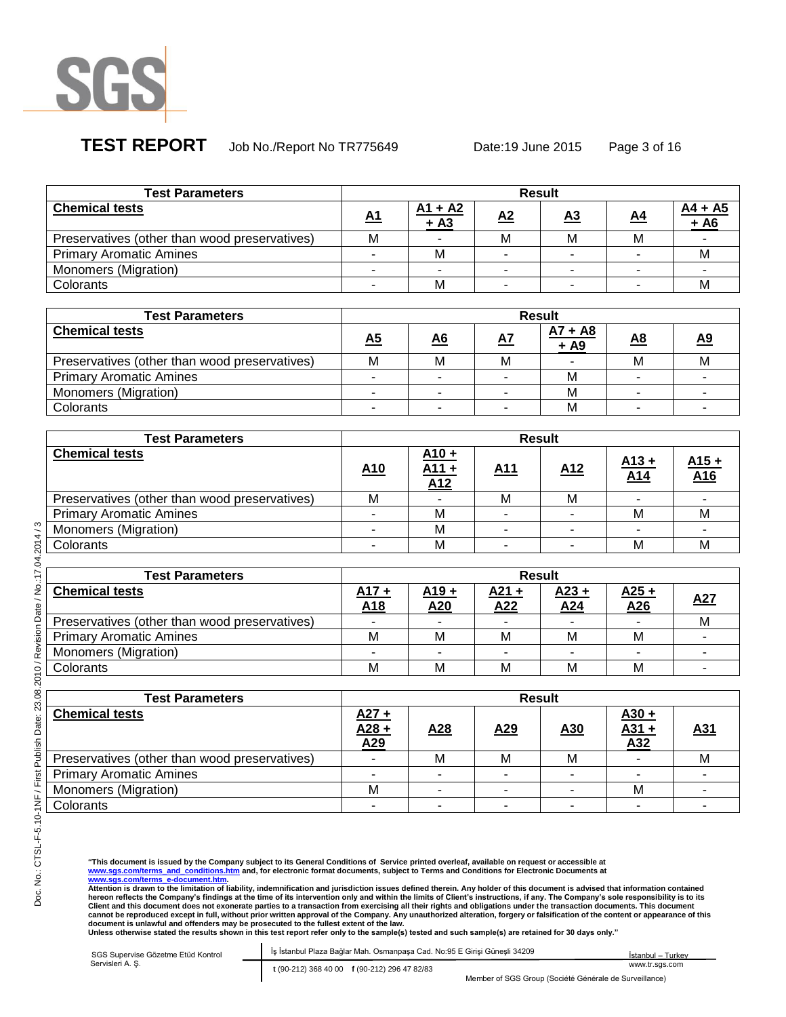

# **TEST REPORT** Job No./Report No TR775649 Date:19 June 2015 Page 3 of 16

| <b>Test Parameters</b>                        |           |                     | <b>Result</b> |           |           |                     |
|-----------------------------------------------|-----------|---------------------|---------------|-----------|-----------|---------------------|
| <b>Chemical tests</b>                         | <b>A1</b> | $A1 + A2$<br>$+ A3$ | A2            | <u>A3</u> | <u>A4</u> | $AA + A5$<br>$+ A6$ |
| Preservatives (other than wood preservatives) | М         |                     | М             | М         | м         |                     |
| <b>Primary Aromatic Amines</b>                |           | M                   |               |           |           |                     |
| Monomers (Migration)                          |           |                     |               |           |           |                     |
| Colorants                                     |           | M                   |               |           |           |                     |

| <b>Test Parameters</b>                        |           |           | <b>Result</b> |                     |           |           |
|-----------------------------------------------|-----------|-----------|---------------|---------------------|-----------|-----------|
| <b>Chemical tests</b>                         | <u>A5</u> | <u>A6</u> | <u>A7</u>     | $A7 + A8$<br>$+ A9$ | <u>A8</u> | <u>A9</u> |
| Preservatives (other than wood preservatives) | М         | M         | M             |                     | M         | M         |
| <b>Primary Aromatic Amines</b>                |           |           |               | М                   |           |           |
| Monomers (Migration)                          |           |           |               | M                   |           |           |
| Colorants                                     |           |           |               | м                   |           |           |

| <b>Test Parameters</b>                        |                 |                       | <b>Result</b> |                 |                            |                            |
|-----------------------------------------------|-----------------|-----------------------|---------------|-----------------|----------------------------|----------------------------|
| <b>Chemical tests</b>                         | A <sub>10</sub> | $\frac{A10 +}{A11 +}$ | <u>A11</u>    | A <sub>12</sub> | $A13 +$<br>A <sub>14</sub> | $A15 +$<br>A <sub>16</sub> |
| Preservatives (other than wood preservatives) | М               |                       | M             | M               |                            |                            |
| <b>Primary Aromatic Amines</b>                |                 | М                     |               |                 | M                          | М                          |
| Monomers (Migration)                          |                 | М                     |               |                 |                            |                            |
| Colorants                                     |                 | М                     |               |                 | M                          | м                          |

| <b>Test Parameters</b>                        |                |                | <b>Result</b>  |                |                    |            |
|-----------------------------------------------|----------------|----------------|----------------|----------------|--------------------|------------|
| <b>Chemical tests</b>                         | $A17 +$<br>A18 | $A19 +$<br>A20 | $A21 +$<br>A22 | $A23 +$<br>A24 | <u>A25+</u><br>A26 | <u>A27</u> |
| Preservatives (other than wood preservatives) |                |                |                |                |                    | м          |
| <b>Primary Aromatic Amines</b>                | М              | м              | М              | M              | M                  |            |
| Monomers (Migration)                          |                |                |                |                |                    |            |
| Colorants                                     | М              | м              | М              | M              | M                  |            |

| <b>Test Parameters</b>                        | <b>Result</b>                |            |                 |                 |                                            |            |  |
|-----------------------------------------------|------------------------------|------------|-----------------|-----------------|--------------------------------------------|------------|--|
| <b>Chemical tests</b>                         | $\frac{A27 +}{A28 +}$<br>A29 | <u>A28</u> | A <sub>29</sub> | A <sub>30</sub> | $\frac{\frac{A30 +}{A31 +}}{\frac{A32}{}}$ | <u>A31</u> |  |
| Preservatives (other than wood preservatives) |                              | м          | м               | М               |                                            | м          |  |
| <b>Primary Aromatic Amines</b>                |                              |            |                 |                 |                                            |            |  |
| Monomers (Migration)                          | M                            |            |                 |                 | M                                          |            |  |
| Colorants                                     |                              |            |                 |                 |                                            |            |  |

"This document is issued by the Company subject to its General Conditions of Service printed overleaf, available on request or accessible at<br><u>www.sqs.com/terms\_a-d\_conditions.htm</u> and, for electronic format documents, subj

| SGS Supervise Gözetme Etüd Kontrol | İş İstanbul Plaza Bağlar Mah. Osmanpaşa Cad. No:95 E Girişi Güneşli 34209 | İstanbul – Turkev |
|------------------------------------|---------------------------------------------------------------------------|-------------------|
| Servisleri A. S.                   | t (90-212) 368 40 00 f (90-212) 296 47 82/83                              | www.tr.sas.com    |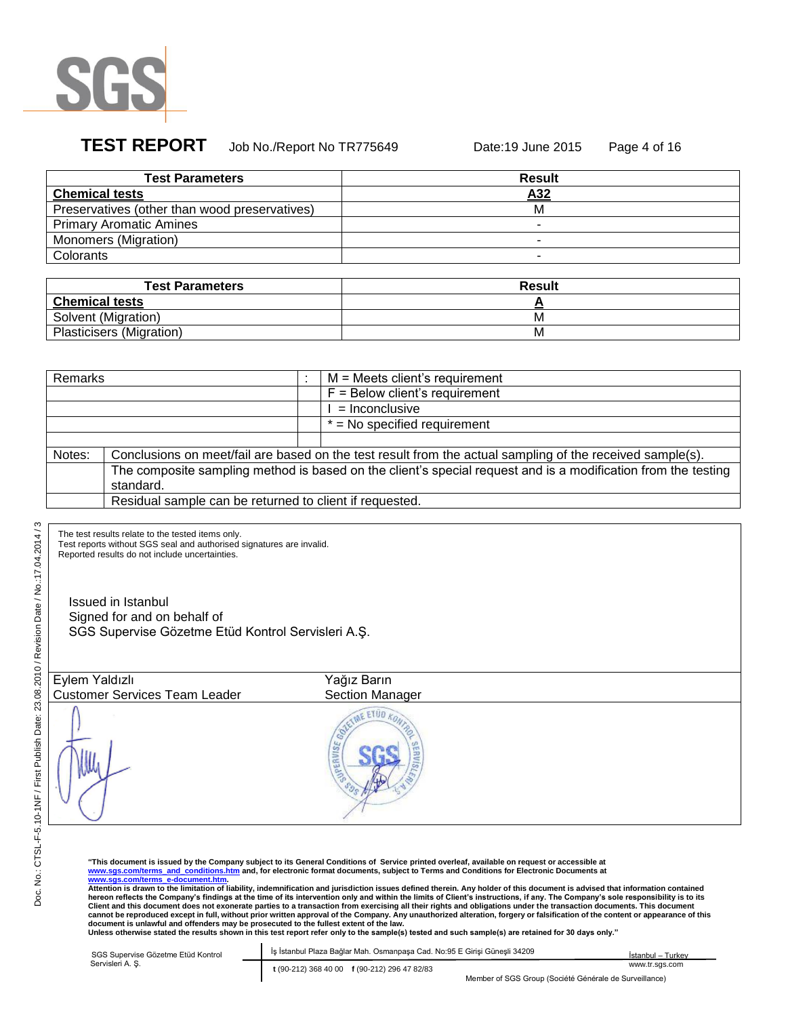

## **TEST REPORT** Job No./Report No TR775649 Date:19 June 2015 Page 4 of 16

| <b>Test Parameters</b>                        | <b>Result</b> |
|-----------------------------------------------|---------------|
| <b>Chemical tests</b>                         | A32           |
| Preservatives (other than wood preservatives) | м             |
| <b>Primary Aromatic Amines</b>                |               |
| <b>Monomers (Migration)</b>                   |               |
| Colorants                                     |               |

| <b>Test Parameters</b>   | <b>Result</b> |
|--------------------------|---------------|
| <b>Chemical tests</b>    |               |
| Solvent (Migration)      | M             |
| Plasticisers (Migration) | ΙVΙ           |

| Remarks |                                                                                                               |  | $M$ = Meets client's requirement                                                                          |
|---------|---------------------------------------------------------------------------------------------------------------|--|-----------------------------------------------------------------------------------------------------------|
|         |                                                                                                               |  | $F =$ Below client's requirement                                                                          |
|         |                                                                                                               |  | $=$ Inconclusive                                                                                          |
|         |                                                                                                               |  | $=$ No specified requirement                                                                              |
|         |                                                                                                               |  |                                                                                                           |
| Notes:  |                                                                                                               |  | Conclusions on meet/fail are based on the test result from the actual sampling of the received sample(s). |
|         | The composite sampling method is based on the client's special request and is a modification from the testing |  |                                                                                                           |
|         | standard.                                                                                                     |  |                                                                                                           |
|         | Residual sample can be returned to client if requested.                                                       |  |                                                                                                           |

The test results relate to the tested items only.

Test reports without SGS seal and authorised signatures are invalid.

Reported results do not include uncertainties.

Issued in Istanbul Signed for and on behalf of SGS Supervise Gözetme Etüd Kontrol Servisleri A.Ş.

| Eylem Yaldızlı                       | Yağız Barın     |
|--------------------------------------|-----------------|
| <b>Customer Services Team Leader</b> | Section Manager |
|                                      | <b>JPERVISE</b> |

"This document is issued by the Company subject to its General Conditions of Service printed overleaf, available on request or accessible at<br><u>www.sqs.com/terms\_a-d\_conditions.htm</u> and, for electronic format documents, subj

| SGS Supervise Gözetme Etüd Kontrol | Is Istanbul Plaza Bağlar Mah. Osmanpasa Cad. No:95 E Girisi Günesli 34209 | Istanbul - Turkey                                      |
|------------------------------------|---------------------------------------------------------------------------|--------------------------------------------------------|
| Servisleri A. S.                   | t (90-212) 368 40 00 f (90-212) 296 47 82/83                              | www.tr.sas.com                                         |
|                                    |                                                                           | Member of SGS Group (Société Générale de Surveillance) |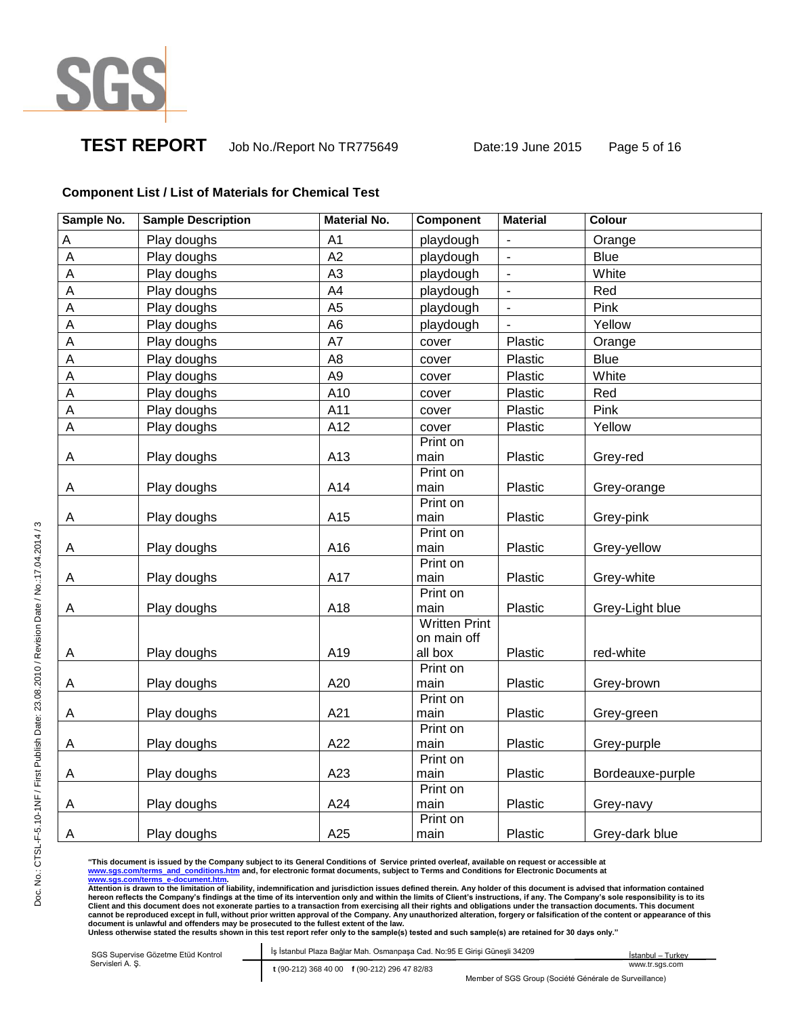

**TEST REPORT** Job No./Report No TR775649 Date:19 June 2015 Page 5 of 16

## **Component List / List of Materials for Chemical Test**

| Sample No. | <b>Sample Description</b> | <b>Material No.</b> | <b>Component</b>     | <b>Material</b> | Colour           |
|------------|---------------------------|---------------------|----------------------|-----------------|------------------|
| Α          | Play doughs               | A1                  | playdough            | $\blacksquare$  | Orange           |
| A          | Play doughs               | A2                  | playdough            | $\blacksquare$  | <b>Blue</b>      |
| A          | Play doughs               | A <sub>3</sub>      | playdough            | $\blacksquare$  | White            |
| A          | Play doughs               | A4                  | playdough            | $\blacksquare$  | Red              |
| A          | Play doughs               | A <sub>5</sub>      | playdough            | $\blacksquare$  | Pink             |
| A          | Play doughs               | A <sub>6</sub>      | playdough            | $\overline{a}$  | Yellow           |
| A          | Play doughs               | A7                  | cover                | Plastic         | Orange           |
| A          | Play doughs               | A <sub>8</sub>      | cover                | Plastic         | <b>Blue</b>      |
| A          | Play doughs               | A <sub>9</sub>      | cover                | Plastic         | White            |
| A          | Play doughs               | A10                 | cover                | Plastic         | Red              |
| A          | Play doughs               | A11                 | cover                | Plastic         | Pink             |
| A          | Play doughs               | A12                 | cover                | Plastic         | Yellow           |
|            |                           |                     | Print on             |                 |                  |
| A          | Play doughs               | A13                 | main                 | Plastic         | Grey-red         |
|            |                           |                     | Print on             |                 |                  |
| Α          | Play doughs               | A14                 | main                 | Plastic         | Grey-orange      |
|            |                           |                     | Print on             |                 |                  |
| A          | Play doughs               | A15                 | main<br>Print on     | Plastic         | Grey-pink        |
| A          | Play doughs               | A16                 | main                 | Plastic         | Grey-yellow      |
|            |                           |                     | Print on             |                 |                  |
| A          | Play doughs               | A17                 | main                 | Plastic         | Grey-white       |
|            |                           |                     | Print on             |                 |                  |
| А          | Play doughs               | A18                 | main                 | Plastic         | Grey-Light blue  |
|            |                           |                     | <b>Written Print</b> |                 |                  |
|            |                           |                     | on main off          |                 |                  |
| A          | Play doughs               | A19                 | all box              | Plastic         | red-white        |
|            |                           |                     | Print on             |                 |                  |
| Α          | Play doughs               | A20                 | main                 | Plastic         | Grey-brown       |
|            |                           | A21                 | Print on             |                 |                  |
| A          | Play doughs               |                     | main<br>Print on     | Plastic         | Grey-green       |
| Α          | Play doughs               | A22                 | main                 | Plastic         | Grey-purple      |
|            |                           |                     | Print on             |                 |                  |
| A          | Play doughs               | A23                 | main                 | Plastic         | Bordeauxe-purple |
|            |                           |                     | Print on             |                 |                  |
| Α          | Play doughs               | A24                 | main                 | Plastic         | Grey-navy        |
|            |                           |                     | Print on             |                 |                  |
| Α          | Play doughs               | A25                 | main                 | Plastic         | Grey-dark blue   |

"This document is issued by the Company subject to its General Conditions of Service printed overleaf, available on request or accessible at<br><u>www.sqs.com/terms\_a-d\_conditions.htm</u> and, for electronic format documents, subj hereon reflects the Company's findings at the time of its intervention only and within the limits of Client's instructions, if any. The Company's sole responsibility is to its<br>Client and this document does not exonerate pa

| SGS Supervise Gözetme Etüd Kontrol | İş İstanbul Plaza Bağlar Mah. Osmanpaşa Cad. No:95 E Girişi Günesli 34209                |
|------------------------------------|------------------------------------------------------------------------------------------|
| Servisleri A. S.                   | t (90-212) 368 40 00 f (90-212) 296 47 82/83<br>Member of SGS Group (Société Générale de |

İstanbul – Turkey www.tr.sgs.com

Member of SGS Group (Société Générale de Surveillance)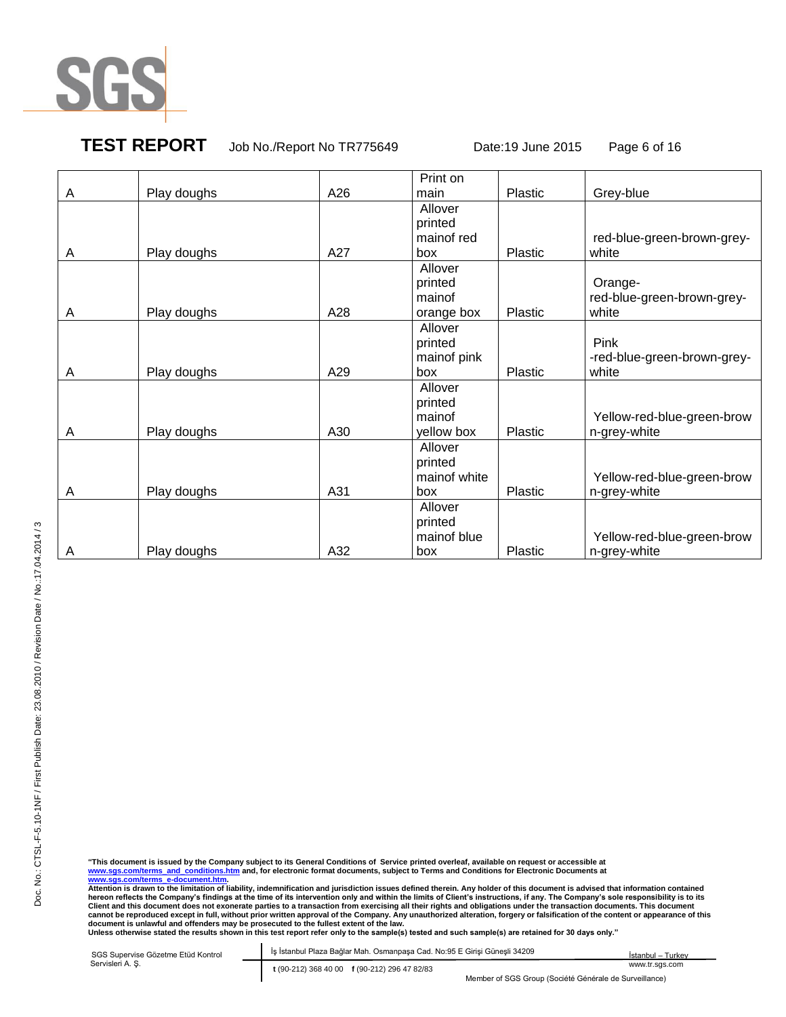

**TEST REPORT** Job No./Report No TR775649 Date:19 June 2015 Page 6 of 16

|   |             |     | Print on     |         |                             |
|---|-------------|-----|--------------|---------|-----------------------------|
| A | Play doughs | A26 | main         | Plastic | Grey-blue                   |
|   |             |     | Allover      |         |                             |
|   |             |     | printed      |         |                             |
|   |             |     | mainof red   |         | red-blue-green-brown-grey-  |
| A | Play doughs | A27 | box          | Plastic | white                       |
|   |             |     | Allover      |         |                             |
|   |             |     | printed      |         | Orange-                     |
|   |             |     | mainof       |         | red-blue-green-brown-grey-  |
| A | Play doughs | A28 | orange box   | Plastic | white                       |
|   |             |     | Allover      |         |                             |
|   |             |     | printed      |         | Pink                        |
|   |             |     | mainof pink  |         | -red-blue-green-brown-grey- |
| A | Play doughs | A29 | box          | Plastic | white                       |
|   |             |     | Allover      |         |                             |
|   |             |     | printed      |         |                             |
|   |             |     | mainof       |         | Yellow-red-blue-green-brow  |
| A | Play doughs | A30 | yellow box   | Plastic | n-grey-white                |
|   |             |     | Allover      |         |                             |
|   |             |     | printed      |         |                             |
|   |             |     | mainof white |         | Yellow-red-blue-green-brow  |
| A | Play doughs | A31 | box          | Plastic | n-grey-white                |
|   |             |     | Allover      |         |                             |
|   |             |     | printed      |         |                             |
|   |             |     | mainof blue  |         | Yellow-red-blue-green-brow  |
| A | Play doughs | A32 | box          | Plastic | n-grey-white                |

"This document is issued by the Company subject to its General Conditions of Service printed overleaf, available on request or accessible at<br><u>www.sqs.com/terms\_a-d\_conditions.htm</u> and, for electronic format documents, subj

hereon reflects the Company's findings at the time of its intervention only and within the limits of Client's instructions, if any. The Company's sole responsibility is to its<br>Client and this document does not exonerate pa

SGS Supervise Gözetme Etüd Kontrol Abide-I İş İstanbul Plaza Bağlar Mah. Osmanpaşa Cad. No:95 E Girişi Güneşli 34209 Servisleri A. Ş. **t** (90-212) 368 40 00 **f** (90-212) 296 47 82/83 İstanbul – Turkey www.tr.sgs.com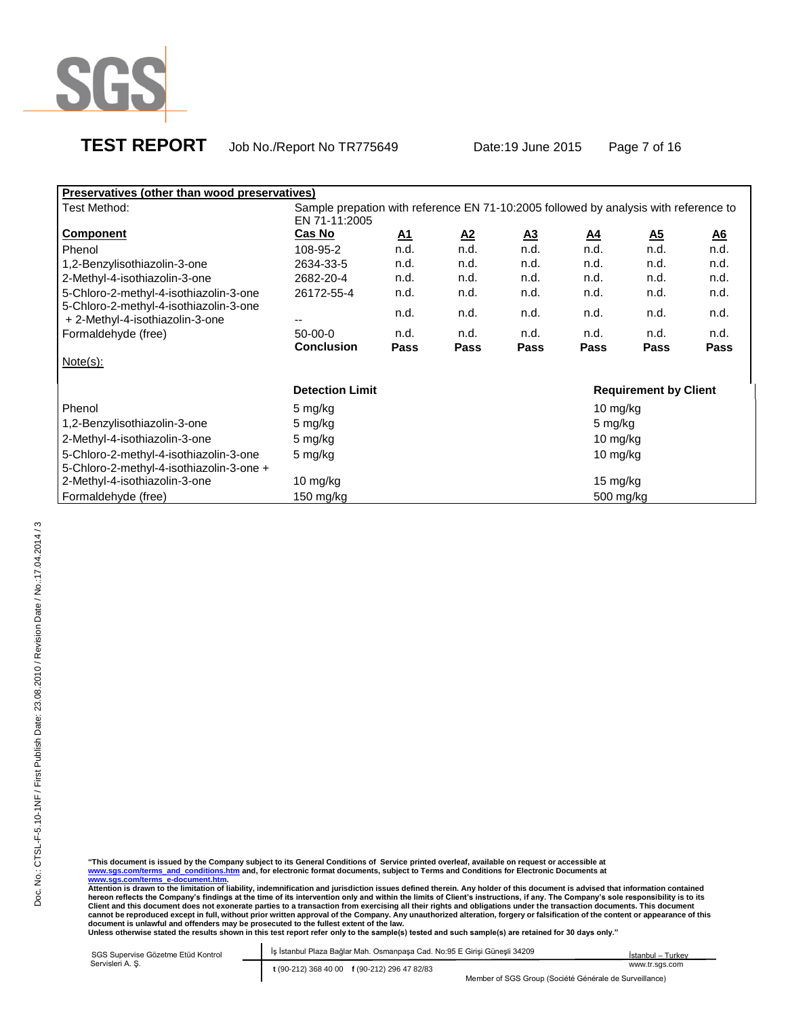

| Preservatives (other than wood preservatives)                             |                                                                                      |           |             |                |             |                              |           |  |
|---------------------------------------------------------------------------|--------------------------------------------------------------------------------------|-----------|-------------|----------------|-------------|------------------------------|-----------|--|
| Test Method:                                                              | Sample prepation with reference EN 71-10:2005 followed by analysis with reference to |           |             |                |             |                              |           |  |
|                                                                           | EN 71-11:2005                                                                        |           |             |                |             |                              |           |  |
| <b>Component</b>                                                          | Cas No                                                                               | <u>A1</u> | <u>A2</u>   | $\mathbf{A}$ 3 | <u>A4</u>   | $\underline{\mathbf{A5}}$    | <u>A6</u> |  |
| Phenol                                                                    | 108-95-2                                                                             | n.d.      | n.d.        | n.d.           | n.d.        | n.d.                         | n.d.      |  |
| 1,2-Benzylisothiazolin-3-one                                              | 2634-33-5                                                                            | n.d.      | n.d.        | n.d.           | n.d.        | n.d.                         | n.d.      |  |
| 2-Methyl-4-isothiazolin-3-one                                             | 2682-20-4                                                                            | n.d.      | n.d.        | n.d.           | n.d.        | n.d.                         | n.d.      |  |
| 5-Chloro-2-methyl-4-isothiazolin-3-one                                    | 26172-55-4                                                                           | n.d.      | n.d.        | n.d.           | n.d.        | n.d.                         | n.d.      |  |
| 5-Chloro-2-methyl-4-isothiazolin-3-one<br>+ 2-Methyl-4-isothiazolin-3-one | --                                                                                   | n.d.      | n.d.        | n.d.           | n.d.        | n.d.                         | n.d.      |  |
| Formaldehyde (free)                                                       | $50-00-0$                                                                            | n.d.      | n.d.        | n.d.           | n.d.        | n.d.                         | n.d.      |  |
|                                                                           | <b>Conclusion</b>                                                                    | Pass      | <b>Pass</b> | Pass           | Pass        | Pass                         | Pass      |  |
| $Note(s)$ :                                                               |                                                                                      |           |             |                |             |                              |           |  |
|                                                                           | <b>Detection Limit</b>                                                               |           |             |                |             | <b>Requirement by Client</b> |           |  |
| Phenol                                                                    | 5 mg/kg                                                                              |           |             |                | 10 mg/kg    |                              |           |  |
| 1,2-Benzylisothiazolin-3-one                                              | 5 mg/kg                                                                              |           |             |                | 5 mg/kg     |                              |           |  |
| 2-Methyl-4-isothiazolin-3-one                                             | 5 mg/kg                                                                              |           |             |                | 10 mg/kg    |                              |           |  |
| 5-Chloro-2-methyl-4-isothiazolin-3-one                                    | 5 mg/kg                                                                              |           |             |                | 10 mg/ $kg$ |                              |           |  |
| 5-Chloro-2-methyl-4-isothiazolin-3-one +                                  |                                                                                      |           |             |                |             |                              |           |  |
| 2-Methyl-4-isothiazolin-3-one                                             | 10 mg/kg                                                                             |           |             |                | 15 mg/kg    |                              |           |  |
| Formaldehyde (free)                                                       | 150 mg/kg                                                                            |           |             |                | 500 mg/kg   |                              |           |  |

| SGS Supervise Gözetme Etüd Kontrol | İş İstanbul Plaza Bağlar Mah. Osmanpaşa Cad. No:95 E Girişi Güneşli 34209 | İstanbul – Turkev                                      |
|------------------------------------|---------------------------------------------------------------------------|--------------------------------------------------------|
| Servisleri A. S.                   | t (90-212) 368 40 00 f (90-212) 296 47 82/83                              | www.tr.sas.com                                         |
|                                    |                                                                           | Member of SGS Group (Société Générale de Surveillance) |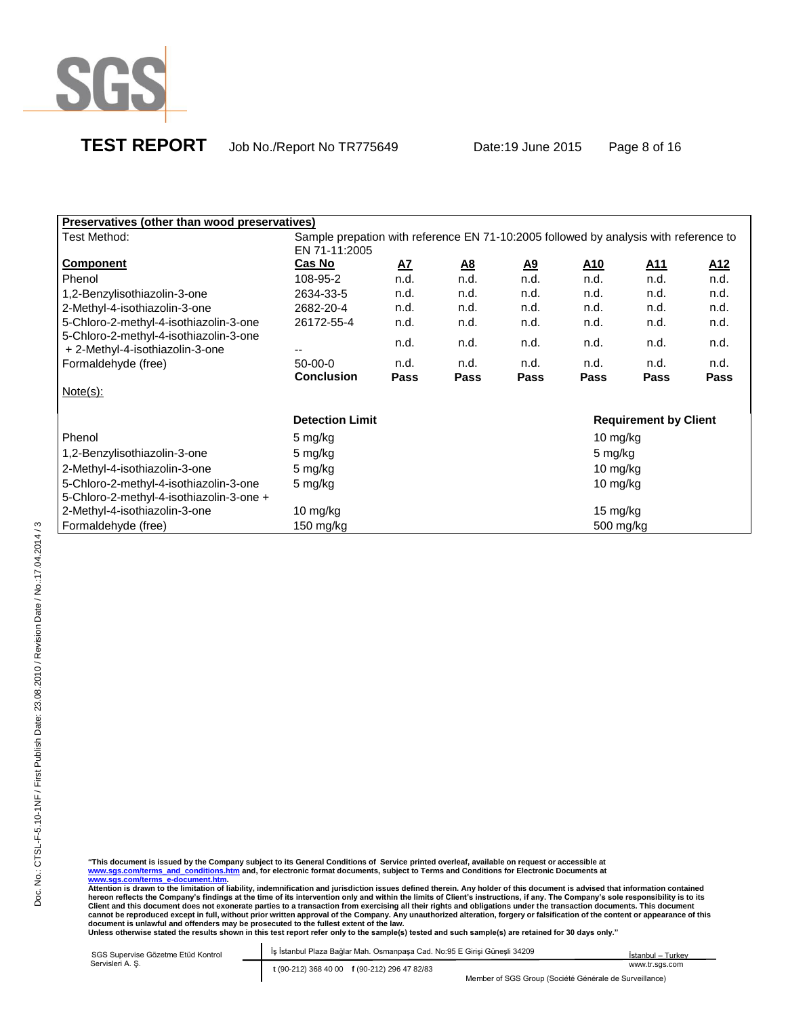

| <b>Preservatives (other than wood preservatives)</b>                               |                                                                                                       |              |           |           |             |                              |                 |
|------------------------------------------------------------------------------------|-------------------------------------------------------------------------------------------------------|--------------|-----------|-----------|-------------|------------------------------|-----------------|
| Test Method:                                                                       | Sample prepation with reference EN 71-10:2005 followed by analysis with reference to<br>EN 71-11:2005 |              |           |           |             |                              |                 |
| <b>Component</b>                                                                   | Cas No                                                                                                | $\mathbf{A}$ | <u>A8</u> | <u>A9</u> | <u>A10</u>  | <u>A11</u>                   | A <sub>12</sub> |
| Phenol                                                                             | 108-95-2                                                                                              | n.d.         | n.d.      | n.d.      | n.d.        | n.d.                         | n.d.            |
| 1,2-Benzylisothiazolin-3-one                                                       | 2634-33-5                                                                                             | n.d.         | n.d.      | n.d.      | n.d.        | n.d.                         | n.d.            |
| 2-Methyl-4-isothiazolin-3-one                                                      | 2682-20-4                                                                                             | n.d.         | n.d.      | n.d.      | n.d.        | n.d.                         | n.d.            |
| 5-Chloro-2-methyl-4-isothiazolin-3-one                                             | 26172-55-4                                                                                            | n.d.         | n.d.      | n.d.      | n.d.        | n.d.                         | n.d.            |
| 5-Chloro-2-methyl-4-isothiazolin-3-one<br>+ 2-Methyl-4-isothiazolin-3-one          | --                                                                                                    | n.d.         | n.d.      | n.d.      | n.d.        | n.d.                         | n.d.            |
| Formaldehyde (free)                                                                | $50-00-0$                                                                                             | n.d.         | n.d.      | n.d.      | n.d.        | n.d.                         | n.d.            |
|                                                                                    | <b>Conclusion</b>                                                                                     | <b>Pass</b>  | Pass      | Pass      | <b>Pass</b> | Pass                         | Pass            |
| Note(s):                                                                           |                                                                                                       |              |           |           |             |                              |                 |
|                                                                                    | <b>Detection Limit</b>                                                                                |              |           |           |             | <b>Requirement by Client</b> |                 |
| Phenol                                                                             | 5 mg/kg                                                                                               |              |           |           | 10 mg/kg    |                              |                 |
| 1,2-Benzylisothiazolin-3-one                                                       | 5 mg/kg                                                                                               |              |           |           | 5 mg/kg     |                              |                 |
| 2-Methyl-4-isothiazolin-3-one                                                      | 5 mg/kg                                                                                               |              |           |           | 10 mg/kg    |                              |                 |
| 5-Chloro-2-methyl-4-isothiazolin-3-one<br>5-Chloro-2-methyl-4-isothiazolin-3-one + | 5 mg/kg<br>10 mg/kg                                                                                   |              |           |           |             |                              |                 |
| 2-Methyl-4-isothiazolin-3-one                                                      | 10 mg/kg                                                                                              |              |           |           | 15 mg/kg    |                              |                 |
| Formaldehyde (free)                                                                | 150 mg/kg                                                                                             |              |           |           | 500 mg/kg   |                              |                 |

"This document is issued by the Company subject to its General Conditions of Service printed overleaf, available on request or accessible at<br><u>www.sqs.com/terms\_a-d\_conditions.htm</u> and, for electronic format documents, subj

| SGS Supervise Gözetme Etüd Kontrol | Is İstanbul Plaza Bağlar Mah. Osmanpaşa Cad. No:95 E Girişi Güneşli 34209 | İstanbul - Turkey                                      |
|------------------------------------|---------------------------------------------------------------------------|--------------------------------------------------------|
| Servisleri A. S.                   | t (90-212) 368 40 00 f (90-212) 296 47 82/83                              | www.tr.sas.com                                         |
|                                    |                                                                           | Member of SGS Group (Société Générale de Surveillance) |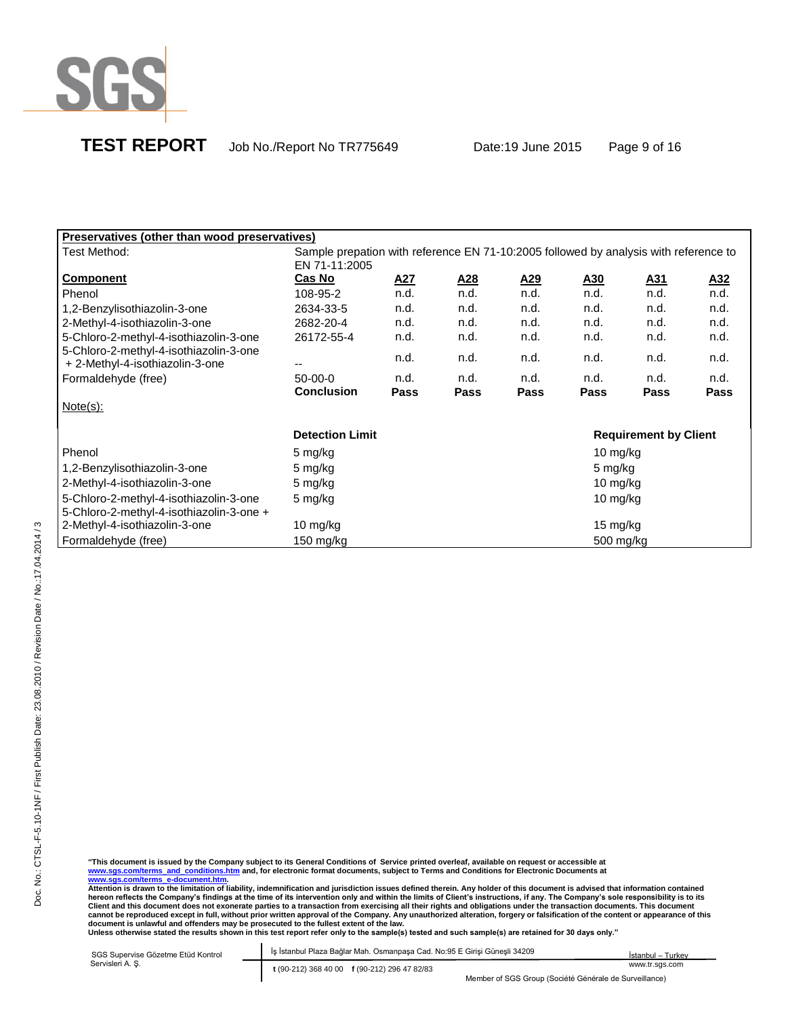

| <b>Preservatives (other than wood preservatives)</b>                               |                                                                                      |             |            |            |             |                              |            |
|------------------------------------------------------------------------------------|--------------------------------------------------------------------------------------|-------------|------------|------------|-------------|------------------------------|------------|
| Test Method:                                                                       | Sample prepation with reference EN 71-10:2005 followed by analysis with reference to |             |            |            |             |                              |            |
|                                                                                    | EN 71-11:2005                                                                        |             |            |            |             |                              |            |
| <b>Component</b>                                                                   | Cas No                                                                               | <u>A27</u>  | <u>A28</u> | <u>A29</u> | <u>A30</u>  | <u>A31</u>                   | <u>A32</u> |
| Phenol                                                                             | 108-95-2                                                                             | n.d.        | n.d.       | n.d.       | n.d.        | n.d.                         | n.d.       |
| 1,2-Benzylisothiazolin-3-one                                                       | 2634-33-5                                                                            | n.d.        | n.d.       | n.d.       | n.d.        | n.d.                         | n.d.       |
| 2-Methyl-4-isothiazolin-3-one                                                      | 2682-20-4                                                                            | n.d.        | n.d.       | n.d.       | n.d.        | n.d.                         | n.d.       |
| 5-Chloro-2-methyl-4-isothiazolin-3-one                                             | 26172-55-4                                                                           | n.d.        | n.d.       | n.d.       | n.d.        | n.d.                         | n.d.       |
| 5-Chloro-2-methyl-4-isothiazolin-3-one<br>+ 2-Methyl-4-isothiazolin-3-one          | --                                                                                   | n.d.        | n.d.       | n.d.       | n.d.        | n.d.                         | n.d.       |
| Formaldehyde (free)                                                                | $50-00-0$                                                                            | n.d.        | n.d.       | n.d.       | n.d.        | n.d.                         | n.d.       |
|                                                                                    | <b>Conclusion</b>                                                                    | <b>Pass</b> | Pass       | Pass       | <b>Pass</b> | Pass                         | Pass       |
| $Note(s)$ :                                                                        |                                                                                      |             |            |            |             |                              |            |
|                                                                                    | <b>Detection Limit</b>                                                               |             |            |            |             | <b>Requirement by Client</b> |            |
| Phenol                                                                             | 5 mg/kg                                                                              |             |            |            | 10 mg/kg    |                              |            |
| 1,2-Benzylisothiazolin-3-one                                                       | 5 mg/kg                                                                              |             |            |            | 5 mg/kg     |                              |            |
| 2-Methyl-4-isothiazolin-3-one                                                      | 5 mg/kg                                                                              |             |            |            | 10 mg/kg    |                              |            |
| 5-Chloro-2-methyl-4-isothiazolin-3-one<br>5-Chloro-2-methyl-4-isothiazolin-3-one + | 5 mg/kg                                                                              |             |            |            | 10 mg/kg    |                              |            |
| 2-Methyl-4-isothiazolin-3-one                                                      | 10 mg/kg                                                                             |             |            |            | 15 mg/kg    |                              |            |
| Formaldehyde (free)                                                                | 150 mg/kg                                                                            |             |            |            | 500 mg/kg   |                              |            |

"This document is issued by the Company subject to its General Conditions of Service printed overleaf, available on request or accessible at<br><u>www.sqs.com/terms\_a-d\_conditions.htm</u> and, for electronic format documents, subj

hereon reflects the Company's findings at the time of its intervention only and within the limits of Client's instructions, if any. The Company's sole responsibility is to its<br>Client and this document does not exonerate pa

SGS Supervise Gözetme Etüd Kontrol Abide-I İş İstanbul Plaza Bağlar Mah. Osmanpaşa Cad. No:95 E Girişi Güneşli 34209 Servisleri A. Ş. **t** (90-212) 368 40 00 **f** (90-212) 296 47 82/83 İstanbul – Turkey www.tr.sgs.com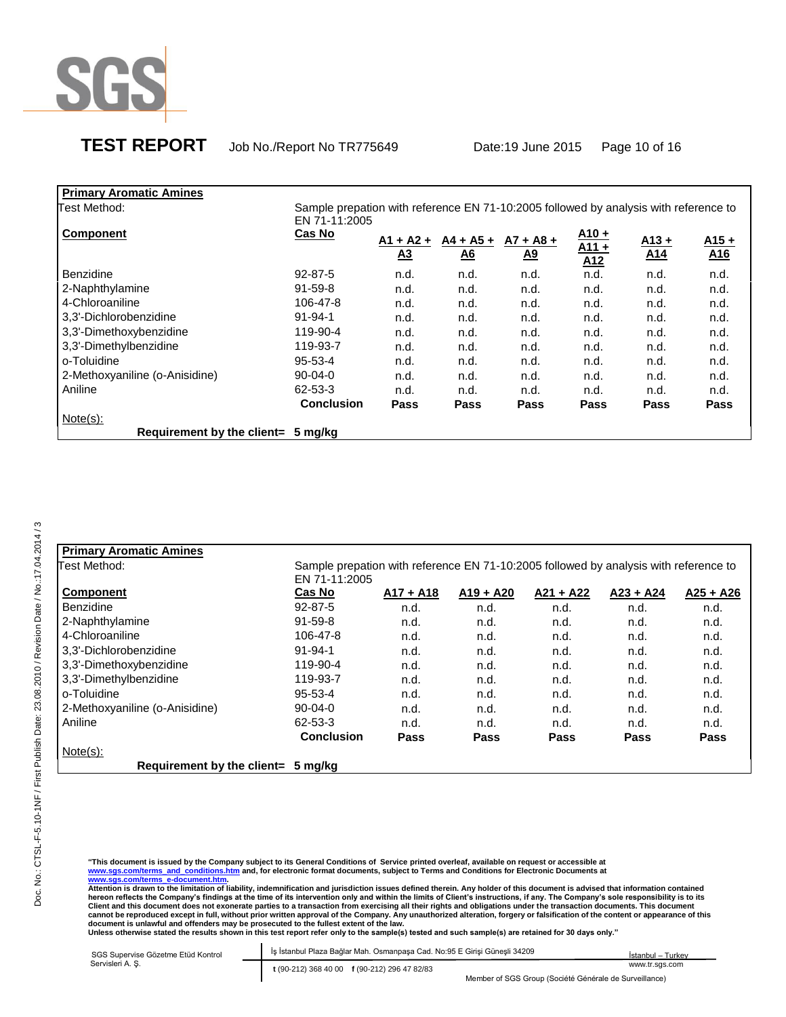

# **TEST REPORT** Job No./Report No TR775649 Date:19 June 2015 Page 10 of 16

| <b>Primary Aromatic Amines</b> |                                                                                      |             |                  |                  |         |                 |                 |
|--------------------------------|--------------------------------------------------------------------------------------|-------------|------------------|------------------|---------|-----------------|-----------------|
| Test Method:                   | Sample prepation with reference EN 71-10:2005 followed by analysis with reference to |             |                  |                  |         |                 |                 |
|                                | EN 71-11:2005                                                                        |             |                  |                  |         |                 |                 |
| <b>Component</b>               | Cas No                                                                               |             |                  |                  | $A10 +$ |                 |                 |
|                                |                                                                                      | $A1 + A2 +$ | $A4 + A5 +$      | $A7 + A8 +$      | $A11 +$ | $A13 +$         | $A15 +$         |
|                                |                                                                                      | <u>A3</u>   | $\underline{A6}$ | $\underline{A9}$ | A12     | A <sub>14</sub> | A <sub>16</sub> |
| <b>Benzidine</b>               | $92 - 87 - 5$                                                                        | n.d.        | n.d.             | n.d.             | n.d.    | n.d.            | n.d.            |
| 2-Naphthylamine                | $91 - 59 - 8$                                                                        | n.d.        | n.d.             | n.d.             | n.d.    | n.d.            | n.d.            |
| 4-Chloroaniline                | 106-47-8                                                                             | n.d.        | n.d.             | n.d.             | n.d.    | n.d.            | n.d.            |
| 3,3'-Dichlorobenzidine         | $91 - 94 - 1$                                                                        | n.d.        | n.d.             | n.d.             | n.d.    | n.d.            | n.d.            |
| 3,3'-Dimethoxybenzidine        | 119-90-4                                                                             | n.d.        | n.d.             | n.d.             | n.d.    | n.d.            | n.d.            |
| 3,3'-Dimethylbenzidine         | 119-93-7                                                                             | n.d.        | n.d.             | n.d.             | n.d.    | n.d.            | n.d.            |
| o-Toluidine                    | $95 - 53 - 4$                                                                        | n.d.        | n.d.             | n.d.             | n.d.    | n.d.            | n.d.            |
| 2-Methoxyaniline (o-Anisidine) | $90 - 04 - 0$                                                                        | n.d.        | n.d.             | n.d.             | n.d.    | n.d.            | n.d.            |
| Aniline                        | 62-53-3                                                                              | n.d.        | n.d.             | n.d.             | n.d.    | n.d.            | n.d.            |
|                                | <b>Conclusion</b>                                                                    | <b>Pass</b> | Pass             | Pass             | Pass    | <b>Pass</b>     | Pass            |
| $Note(s)$ :                    |                                                                                      |             |                  |                  |         |                 |                 |
| Requirement by the client=     | 5 mg/kg                                                                              |             |                  |                  |         |                 |                 |

| <b>Primary Aromatic Amines</b>     |                                                                                                       |             |             |             |             |             |
|------------------------------------|-------------------------------------------------------------------------------------------------------|-------------|-------------|-------------|-------------|-------------|
| Test Method:                       | Sample prepation with reference EN 71-10:2005 followed by analysis with reference to<br>EN 71-11:2005 |             |             |             |             |             |
| <b>Component</b>                   | Cas No                                                                                                | $A17 + A18$ | $A19 + A20$ | $A21 + A22$ | $A23 + A24$ | $A25 + A26$ |
| <b>Benzidine</b>                   | $92 - 87 - 5$                                                                                         | n.d.        | n.d.        | n.d.        | n.d.        | n.d.        |
| 2-Naphthylamine                    | $91 - 59 - 8$                                                                                         | n.d.        | n.d.        | n.d.        | n.d.        | n.d.        |
| 4-Chloroaniline                    | 106-47-8                                                                                              | n.d.        | n.d.        | n.d.        | n.d.        | n.d.        |
| 3,3'-Dichlorobenzidine             | $91 - 94 - 1$                                                                                         | n.d.        | n.d.        | n.d.        | n.d.        | n.d.        |
| 3,3'-Dimethoxybenzidine            | 119-90-4                                                                                              | n.d.        | n.d.        | n.d.        | n.d.        | n.d.        |
| 3,3'-Dimethylbenzidine             | 119-93-7                                                                                              | n.d.        | n.d.        | n.d.        | n.d.        | n.d.        |
| o-Toluidine                        | $95 - 53 - 4$                                                                                         | n.d.        | n.d.        | n.d.        | n.d.        | n.d.        |
| 2-Methoxyaniline (o-Anisidine)     | $90 - 04 - 0$                                                                                         | n.d.        | n.d.        | n.d.        | n.d.        | n.d.        |
| Aniline                            | 62-53-3                                                                                               | n.d.        | n.d.        | n.d.        | n.d.        | n.d.        |
|                                    | <b>Conclusion</b>                                                                                     | Pass        | Pass        | Pass        | Pass        | Pass        |
| $Note(s)$ :                        |                                                                                                       |             |             |             |             |             |
| Requirement by the client= 5 mg/kg |                                                                                                       |             |             |             |             |             |

"This document is issued by the Company subject to its General Conditions of Service printed overleaf, available on request or accessible at<br><u>www.sqs.com/terms\_a-d\_conditions.htm</u> and, for electronic format documents, subj

| SGS Supervise Gözetme Etüd Kontrol | İş İstanbul Plaza Bağlar Mah. Osmanpaşa Cad. No:95 E Girişi Güneşli 34209 | İstanbul – Turkev |
|------------------------------------|---------------------------------------------------------------------------|-------------------|
| Servisleri A. S.                   | t (90-212) 368 40 00 f (90-212) 296 47 82/83                              | www.tr.sgs.com    |
|                                    | Member of SGS Group (Société Générale de Surveillance)                    |                   |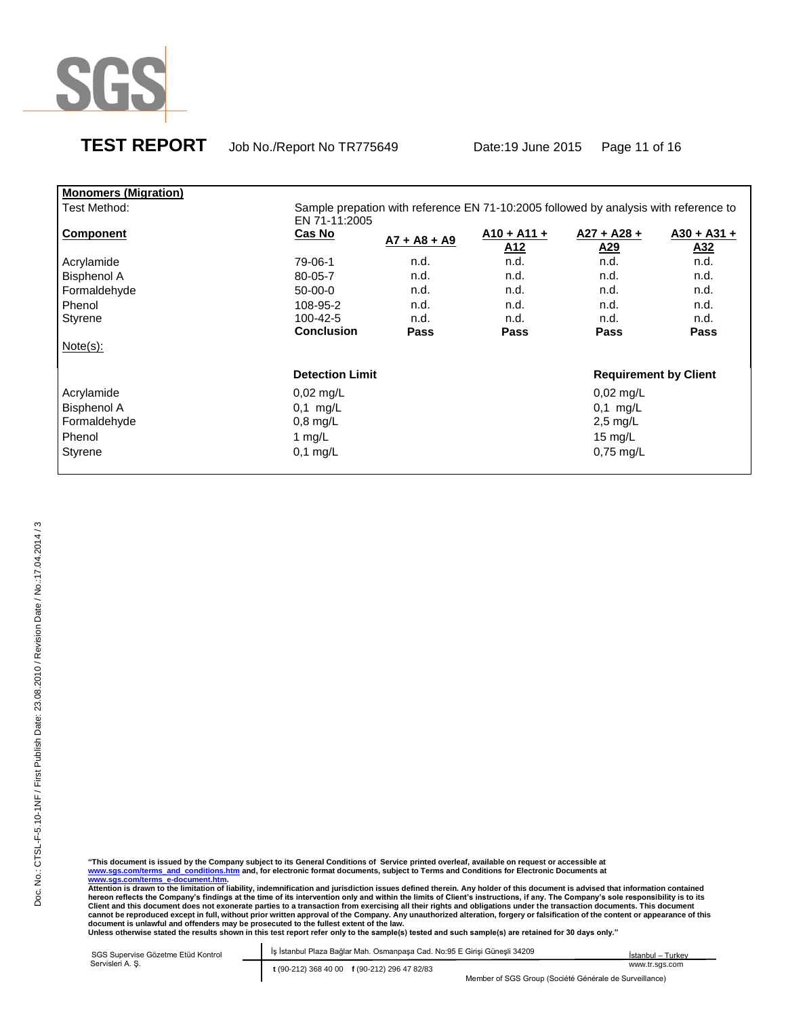

# **TEST REPORT** Job No./Report No TR775649 Date:19 June 2015 Page 11 of 16

| <b>Monomers (Migration)</b> |                        |                                                                                      |                                  |                                  |                      |  |
|-----------------------------|------------------------|--------------------------------------------------------------------------------------|----------------------------------|----------------------------------|----------------------|--|
| Test Method:                | EN 71-11:2005          | Sample prepation with reference EN 71-10:2005 followed by analysis with reference to |                                  |                                  |                      |  |
| <b>Component</b>            | Cas No                 | $A7 + A8 + A9$                                                                       | $A10 + A11 +$<br>A <sub>12</sub> | $A27 + A28 +$<br>A <sub>29</sub> | $A30 + A31 +$<br>A32 |  |
| Acrylamide                  | 79-06-1                | n.d.                                                                                 | n.d.                             | n.d.                             | n.d.                 |  |
| <b>Bisphenol A</b>          | 80-05-7                | n.d.                                                                                 | n.d.                             | n.d.                             | n.d.                 |  |
| Formaldehyde                | $50-00-0$              | n.d.                                                                                 | n.d.                             | n.d.                             | n.d.                 |  |
| Phenol                      | 108-95-2               | n.d.                                                                                 | n.d.                             | n.d.                             | n.d.                 |  |
| Styrene                     | 100-42-5               | n.d.                                                                                 | n.d.                             | n.d.                             | n.d.                 |  |
|                             | <b>Conclusion</b>      | Pass                                                                                 | Pass                             | Pass                             | <b>Pass</b>          |  |
| Note(s):                    |                        |                                                                                      |                                  |                                  |                      |  |
|                             | <b>Detection Limit</b> |                                                                                      |                                  | <b>Requirement by Client</b>     |                      |  |
| Acrylamide                  | $0,02 \text{ mg/L}$    |                                                                                      |                                  | $0,02$ mg/L                      |                      |  |
| <b>Bisphenol A</b>          | $0,1$ mg/L             |                                                                                      |                                  | $0.1$ mg/L                       |                      |  |
| Formaldehyde                | $0,8$ mg/L             |                                                                                      |                                  | 2,5 mg/L                         |                      |  |
| Phenol                      | 1 mg/L                 |                                                                                      |                                  | 15 mg/ $L$                       |                      |  |
| Styrene                     | $0,1$ mg/L             |                                                                                      |                                  | $0,75$ mg/L                      |                      |  |
|                             |                        |                                                                                      |                                  |                                  |                      |  |

"This document is issued by the Company subject to its General Conditions of Service printed overleaf, available on request or accessible at<br><u>www.sqs.com/terms\_a-d\_conditions.htm</u> and, for electronic format documents, subj

| SGS Supervise Gözetme Etüd Kontrol | İş İstanbul Plaza Bağlar Mah. Osmanpaşa Cad. No:95 E Girişi Güneşli 34209 | İstanbul – Turkev |
|------------------------------------|---------------------------------------------------------------------------|-------------------|
| Servisleri A. S.                   | t (90-212) 368 40 00 f (90-212) 296 47 82/83                              | www.tr.sgs.com    |
|                                    | Member of SGS Group (Société Générale de Surveillance)                    |                   |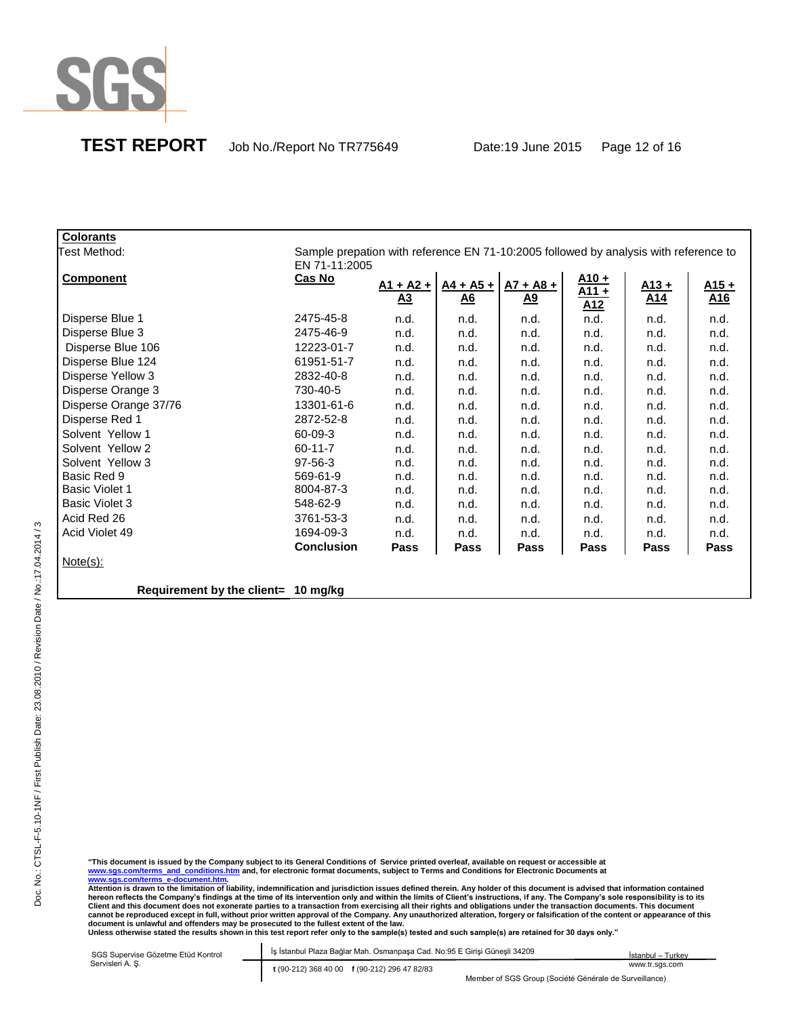

| <b>Colorants</b>                    |                                                                                      |                 |                  |                  |                |         |         |
|-------------------------------------|--------------------------------------------------------------------------------------|-----------------|------------------|------------------|----------------|---------|---------|
| Test Method:                        | Sample prepation with reference EN 71-10:2005 followed by analysis with reference to |                 |                  |                  |                |         |         |
|                                     | EN 71-11:2005                                                                        |                 |                  |                  |                |         |         |
| <b>Component</b>                    | <b>Cas No</b>                                                                        | $A1 + A2 +$     | $A4 + A5 +$      | $A7 + A8 +$      | $A10 +$        | $A13 +$ | $A15 +$ |
|                                     |                                                                                      | $\overline{A3}$ | $\underline{A6}$ | $\underline{A9}$ | $A11 +$<br>A12 | A14     | A16     |
| Disperse Blue 1                     | 2475-45-8                                                                            | n.d.            | n.d.             | n.d.             | n.d.           | n.d.    | n.d.    |
| Disperse Blue 3                     | 2475-46-9                                                                            | n.d.            | n.d.             | n.d.             | n.d.           | n.d.    | n.d.    |
| Disperse Blue 106                   | 12223-01-7                                                                           | n.d.            | n.d.             | n.d.             | n.d.           | n.d.    | n.d.    |
| Disperse Blue 124                   | 61951-51-7                                                                           | n.d.            | n.d.             | n.d.             | n.d.           | n.d.    | n.d.    |
| Disperse Yellow 3                   | 2832-40-8                                                                            | n.d.            | n.d.             | n.d.             | n.d.           | n.d.    | n.d.    |
| Disperse Orange 3                   | 730-40-5                                                                             | n.d.            | n.d.             | n.d.             | n.d.           | n.d.    | n.d.    |
| Disperse Orange 37/76               | 13301-61-6                                                                           | n.d.            | n.d.             | n.d.             | n.d.           | n.d.    | n.d.    |
| Disperse Red 1                      | 2872-52-8                                                                            | n.d.            | n.d.             | n.d.             | n.d.           | n.d.    | n.d.    |
| Solvent Yellow 1                    | 60-09-3                                                                              | n.d.            | n.d.             | n.d.             | n.d.           | n.d.    | n.d.    |
| Solvent Yellow 2                    | $60 - 11 - 7$                                                                        | n.d.            | n.d.             | n.d.             | n.d.           | n.d.    | n.d.    |
| Solvent Yellow 3                    | $97-56-3$                                                                            | n.d.            | n.d.             | n.d.             | n.d.           | n.d.    | n.d.    |
| Basic Red 9                         | 569-61-9                                                                             | n.d.            | n.d.             | n.d.             | n.d.           | n.d.    | n.d.    |
| <b>Basic Violet 1</b>               | 8004-87-3                                                                            | n.d.            | n.d.             | n.d.             | n.d.           | n.d.    | n.d.    |
| <b>Basic Violet 3</b>               | 548-62-9                                                                             | n.d.            | n.d.             | n.d.             | n.d.           | n.d.    | n.d.    |
| Acid Red 26                         | 3761-53-3                                                                            | n.d.            | n.d.             | n.d.             | n.d.           | n.d.    | n.d.    |
| Acid Violet 49                      | 1694-09-3                                                                            | n.d.            | n.d.             | n.d.             | n.d.           | n.d.    | n.d.    |
|                                     | <b>Conclusion</b>                                                                    | Pass            | Pass             | Pass             | Pass           | Pass    | Pass    |
| $Note(s)$ :                         |                                                                                      |                 |                  |                  |                |         |         |
|                                     |                                                                                      |                 |                  |                  |                |         |         |
| Requirement by the client= 10 mg/kg |                                                                                      |                 |                  |                  |                |         |         |

"This document is issued by the Company subject to its General Conditions of Service printed overleaf, available on request or accessible at<br><u>www.sqs.com/terms\_a-d\_conditions.htm</u> and, for electronic format documents, subj

| SGS Supervise Gözetme Etüd Kontrol | İş İstanbul Plaza Bağlar Mah. Osmanpaşa Cad. No:95 E Girişi Güneşli 34209 | Istanbul – Turkev |
|------------------------------------|---------------------------------------------------------------------------|-------------------|
| Servisleri A. S.                   | t (90-212) 368 40 00 f (90-212) 296 47 82/83                              | www.tr.sgs.com    |
|                                    | Member of SGS Group (Société Générale de Surveillance)                    |                   |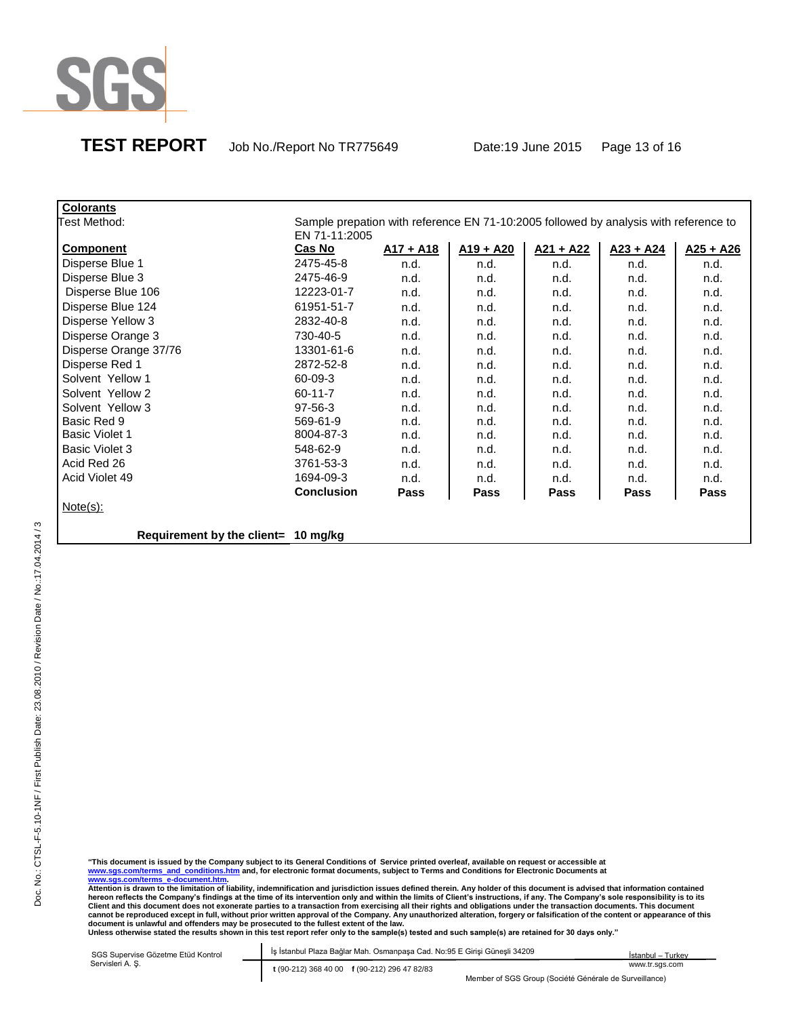

**TEST REPORT** Job No./Report No TR775649 Date:19 June 2015 Page 13 of 16

| <b>Colorants</b>                    |                   |                                                                                      |             |             |             |             |
|-------------------------------------|-------------------|--------------------------------------------------------------------------------------|-------------|-------------|-------------|-------------|
| Test Method:                        |                   | Sample prepation with reference EN 71-10:2005 followed by analysis with reference to |             |             |             |             |
|                                     | EN 71-11:2005     |                                                                                      |             |             |             |             |
| Component                           | Cas No            | $A17 + A18$                                                                          | $A19 + A20$ | $A21 + A22$ | $A23 + A24$ | $A25 + A26$ |
| Disperse Blue 1                     | 2475-45-8         | n.d.                                                                                 | n.d.        | n.d.        | n.d.        | n.d.        |
| Disperse Blue 3                     | 2475-46-9         | n.d.                                                                                 | n.d.        | n.d.        | n.d.        | n.d.        |
| Disperse Blue 106                   | 12223-01-7        | n.d.                                                                                 | n.d.        | n.d.        | n.d.        | n.d.        |
| Disperse Blue 124                   | 61951-51-7        | n.d.                                                                                 | n.d.        | n.d.        | n.d.        | n.d.        |
| Disperse Yellow 3                   | 2832-40-8         | n.d.                                                                                 | n.d.        | n.d.        | n.d.        | n.d.        |
| Disperse Orange 3                   | 730-40-5          | n.d.                                                                                 | n.d.        | n.d.        | n.d.        | n.d.        |
| Disperse Orange 37/76               | 13301-61-6        | n.d.                                                                                 | n.d.        | n.d.        | n.d.        | n.d.        |
| Disperse Red 1                      | 2872-52-8         | n.d.                                                                                 | n.d.        | n.d.        | n.d.        | n.d.        |
| Solvent Yellow 1                    | 60-09-3           | n.d.                                                                                 | n.d.        | n.d.        | n.d.        | n.d.        |
| Solvent Yellow 2                    | $60 - 11 - 7$     | n.d.                                                                                 | n.d.        | n.d.        | n.d.        | n.d.        |
| Solvent Yellow 3                    | 97-56-3           | n.d.                                                                                 | n.d.        | n.d.        | n.d.        | n.d.        |
| Basic Red 9                         | 569-61-9          | n.d.                                                                                 | n.d.        | n.d.        | n.d.        | n.d.        |
| <b>Basic Violet 1</b>               | 8004-87-3         | n.d.                                                                                 | n.d.        | n.d.        | n.d.        | n.d.        |
| <b>Basic Violet 3</b>               | 548-62-9          | n.d.                                                                                 | n.d.        | n.d.        | n.d.        | n.d.        |
| Acid Red 26                         | 3761-53-3         | n.d.                                                                                 | n.d.        | n.d.        | n.d.        | n.d.        |
| Acid Violet 49                      | 1694-09-3         | n.d.                                                                                 | n.d.        | n.d.        | n.d.        | n.d.        |
|                                     | <b>Conclusion</b> | <b>Pass</b>                                                                          | Pass        | Pass        | Pass        | Pass        |
| $Note(s)$ :                         |                   |                                                                                      |             |             |             |             |
|                                     |                   |                                                                                      |             |             |             |             |
| Requirement by the client= 10 mg/kg |                   |                                                                                      |             |             |             |             |

"This document is issued by the Company subject to its General Conditions of Service printed overleaf, available on request or accessible at<br><u>www.sqs.com/terms\_a-d\_conditions.htm</u> and, for electronic format documents, subj

| SGS Supervise Gözetme Etüd Kontrol | İş İstanbul Plaza Bağlar Mah. Osmanpaşa Cad. No:95 E Girişi Güneşli 34209 | İstanbul – Turkev                                      |  |  |
|------------------------------------|---------------------------------------------------------------------------|--------------------------------------------------------|--|--|
| Servisleri A. S.                   | t (90-212) 368 40 00 f (90-212) 296 47 82/83                              | www.tr.sas.com                                         |  |  |
|                                    |                                                                           | Member of SGS Group (Société Générale de Surveillance) |  |  |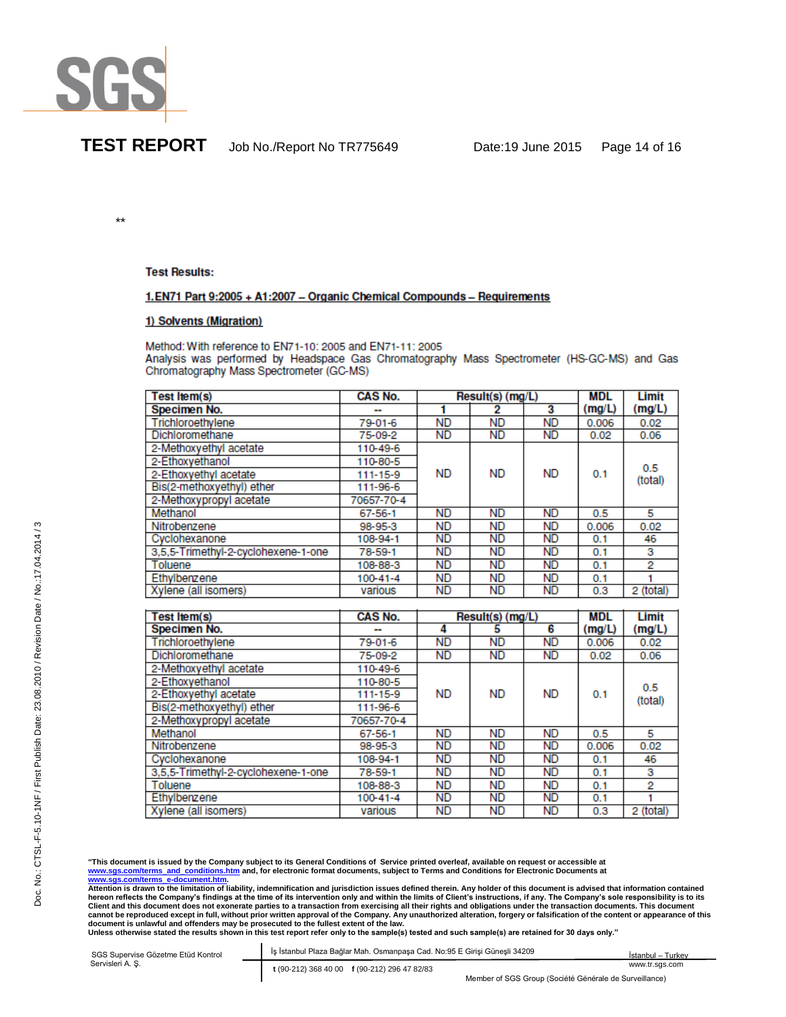

\*\*

### **Test Results:**

## 1.EN71 Part 9:2005 + A1:2007 - Organic Chemical Compounds - Requirements

### 1) Solvents (Migration)

Method: With reference to EN71-10: 2005 and EN71-11: 2005 Analysis was performed by Headspace Gas Chromatography Mass Spectrometer (HS-GC-MS) and Gas Chromatography Mass Spectrometer (GC-MS)

| <b>Test ltem(s)</b>                 | <b>CAS No.</b>           | Result(s) (mg/L) |           |           | <b>MDL</b> | Limit     |
|-------------------------------------|--------------------------|------------------|-----------|-----------|------------|-----------|
| Specimen No.                        | $\overline{\phantom{a}}$ |                  |           | 3         | (mg/L)     | (mg/L)    |
| Trichloroethylene                   | 79-01-6                  | ND               | <b>ND</b> | <b>ND</b> | 0.006      | 0.02      |
| Dichloromethane                     | 75-09-2                  | <b>ND</b>        | ND        | ND        | 0.02       | 0.06      |
| 2-Methoxyethyl acetate              | 110-49-6                 |                  |           |           |            |           |
| 2-Ethoxyethanol                     | 110-80-5                 |                  |           |           |            | 0.5       |
| 2-Ethoxyethyl acetate               | 111-15-9                 | <b>ND</b>        | <b>ND</b> | <b>ND</b> | 0.1        | (total)   |
| Bis(2-methoxyethyl) ether           | 111-96-6                 |                  |           |           |            |           |
| 2-Methoxypropyl acetate             | 70657-70-4               |                  |           |           |            |           |
| Methanol                            | $67 - 56 - 1$            | ND               | <b>ND</b> | ND        | 0.5        | 5         |
| Nitrobenzene                        | 98-95-3                  | ND               | ND        | ND        | 0.006      | 0.02      |
| Cyclohexanone                       | 108-94-1                 | <b>ND</b>        | ND        | ND        | 0.1        | 46        |
| 3,5,5-Trimethyl-2-cyclohexene-1-one | 78-59-1                  | ND               | ND        | ND        | 0.1        | з         |
| Toluene                             | 108-88-3                 | <b>ND</b>        | ND        | <b>ND</b> | 0.1        | 2         |
| Ethylbenzene                        | $100 - 41 - 4$           | ND.              | <b>ND</b> | <b>ND</b> | 0.1        |           |
| Xylene (all isomers)                | various                  | <b>ND</b>        | ND        | ND        | 0.3        | 2 (total) |

| Test Item(s)                        | CAS No.       | Result(s) (mg/L) |           |           | <b>MDL</b> | Limit     |
|-------------------------------------|---------------|------------------|-----------|-----------|------------|-----------|
| Specimen No.                        | . .           | 4                | 5         | 6         | (mg/L)     | (mg/L)    |
| Trichloroethvlene                   | 79-01-6       | ND               | <b>ND</b> | <b>ND</b> | 0.006      | 0.02      |
| Dichloromethane                     | 75-09-2       | <b>ND</b>        | <b>ND</b> | <b>ND</b> | 0.02       | 0.06      |
| 2-Methoxyethyl acetate              | 110-49-6      |                  |           |           |            |           |
| 2-Ethoxvethanol                     | 110-80-5      |                  |           |           |            | 0.5       |
| 2-Ethoxyethyl acetate               | 111-15-9      | <b>ND</b>        | <b>ND</b> | <b>ND</b> | 0.1        | (total)   |
| Bis(2-methoxyethyl) ether           | 111-96-6      |                  |           |           |            |           |
| 2-Methoxypropyl acetate             | 70657-70-4    |                  |           |           |            |           |
| Methanol                            | $67 - 56 - 1$ | <b>ND</b>        | <b>ND</b> | <b>ND</b> | 0.5        | 5         |
| Nitrobenzene                        | 98-95-3       | ND               | <b>ND</b> | <b>ND</b> | 0.006      | 0.02      |
| Cyclohexanone                       | 108-94-1      | <b>ND</b>        | <b>ND</b> | <b>ND</b> | 0.1        | 46        |
| 3,5,5-Trimethyl-2-cyclohexene-1-one | 78-59-1       | <b>ND</b>        | <b>ND</b> | <b>ND</b> | 0.1        | з         |
| Toluene                             | 108-88-3      | <b>ND</b>        | <b>ND</b> | <b>ND</b> | 0.1        | 2         |
| Ethylbenzene                        | 100-41-4      | <b>ND</b>        | <b>ND</b> | <b>ND</b> | 0.1        |           |
| Xylene (all isomers)                | various       | <b>ND</b>        | <b>ND</b> | <b>ND</b> | 0.3        | 2 (total) |

"This document is issued by the Company subject to its General Conditions of Service printed overleaf, available on request or accessible at<br><u>www.sqs.com/terms\_a-d\_conditions.htm</u> and, for electronic format documents, subj

| SGS Supervise Gözetme Etüd Kontrol | İş İstanbul Plaza Bağlar Mah. Osmanpaşa Cad. No:95 E Girişi Güneşli 34209 | İstanbul – Turkev                            |                                                        |                |
|------------------------------------|---------------------------------------------------------------------------|----------------------------------------------|--------------------------------------------------------|----------------|
| Servisleri A. S.                   |                                                                           | t (90-212) 368 40 00 f (90-212) 296 47 82/83 |                                                        | www.tr.sgs.com |
|                                    |                                                                           |                                              | Member of SGS Group (Société Générale de Surveillance) |                |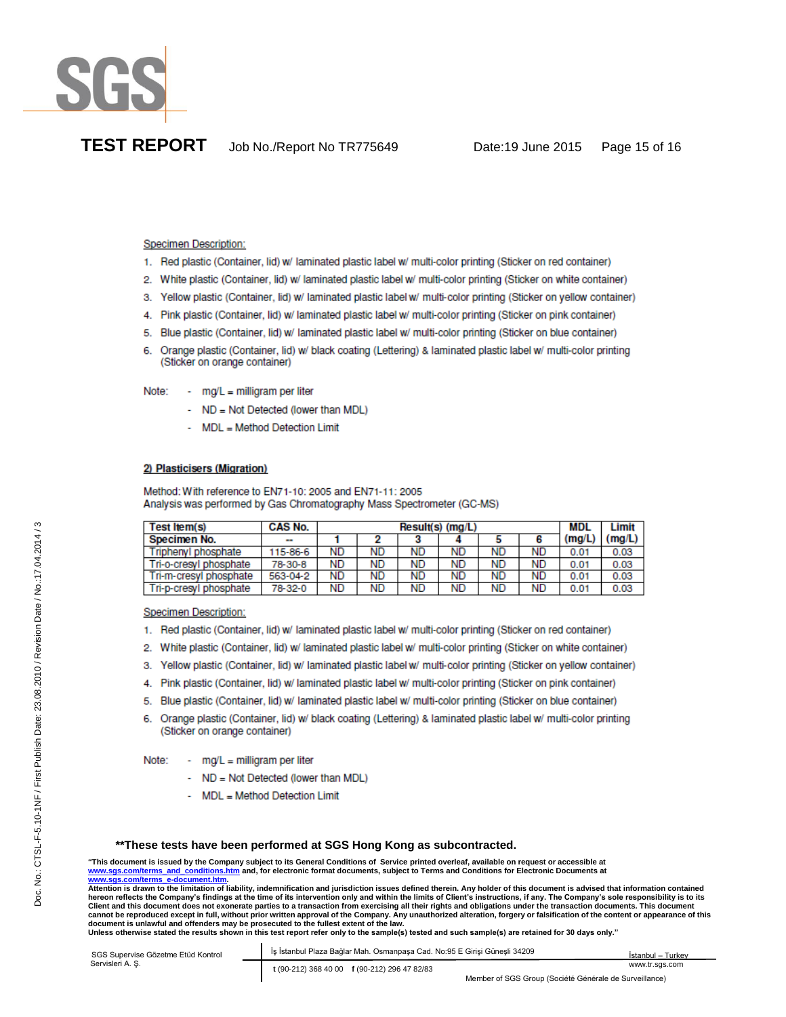

### **Specimen Description:**

- 1. Red plastic (Container, lid) w/ laminated plastic label w/ multi-color printing (Sticker on red container)
- 2. White plastic (Container, lid) w/ laminated plastic label w/ multi-color printing (Sticker on white container)
- 3. Yellow plastic (Container, lid) w/ laminated plastic label w/ multi-color printing (Sticker on yellow container)
- 4. Pink plastic (Container, lid) w/ laminated plastic label w/ multi-color printing (Sticker on pink container)
- 5. Blue plastic (Container, lid) w/ laminated plastic label w/ multi-color printing (Sticker on blue container)
- 6. Orange plastic (Container, lid) w/ black coating (Lettering) & laminated plastic label w/ multi-color printing (Sticker on orange container)
- $mg/L =$  milligram per liter Note:
	- ND = Not Detected (lower than MDL)
	- MDL = Method Detection Limit

### 2) Plasticisers (Migration)

Method: With reference to EN71-10: 2005 and EN71-11: 2005 Analysis was performed by Gas Chromatography Mass Spectrometer (GC-MS)

| Test Item(s)           | CAS No.                  |           | $Result(s)$ (mg/L) |           |    |           |    |        | Limit  |
|------------------------|--------------------------|-----------|--------------------|-----------|----|-----------|----|--------|--------|
| Specimen No.           | $\overline{\phantom{a}}$ |           |                    |           |    |           |    | (mq/L) | (mg/L) |
| Triphenyl phosphate    | 115-86-6                 | ND        | <b>ND</b>          | <b>ND</b> | ND | ND        | ND | 0.01   | 0.03   |
| Tri-o-cresyl phosphate | 78-30-8                  | ND        | ND                 | ND        | ND | ND        | ND | 0.01   | 0.03   |
| Tri-m-cresyl phosphate | 563-04-2                 | <b>ND</b> | ND                 | ND        | ND | <b>ND</b> | ND | 0.01   | 0.03   |
| Tri-p-cresyl phosphate | 78-32-0                  | ND        | ND                 | ND        | ND | <b>ND</b> | ND | 0.01   | 0.03   |

**Specimen Description:** 

- 1. Red plastic (Container, lid) w/ laminated plastic label w/ multi-color printing (Sticker on red container)
- 2. White plastic (Container, lid) w/ laminated plastic label w/ multi-color printing (Sticker on white container)
- 3. Yellow plastic (Container, lid) w/ laminated plastic label w/ multi-color printing (Sticker on yellow container)
- 4. Pink plastic (Container, lid) w/ laminated plastic label w/ multi-color printing (Sticker on pink container)
- 5. Blue plastic (Container, lid) w/ laminated plastic label w/ multi-color printing (Sticker on blue container)
- 6. Orange plastic (Container, lid) w/ black coating (Lettering) & laminated plastic label w/ multi-color printing (Sticker on orange container)

Note: - mg/L = milligram per liter

- ND = Not Detected (lower than MDL)
- MDL = Method Detection Limit

### **\*\*These tests have been performed at SGS Hong Kong as subcontracted.**

**"This document is issued by the Company subject to its General Conditions of Service printed overleaf, available on request or accessible at www.sgs.com/terms\_and\_conditions.htm and, for electronic format documents, subject to Terms and Conditions for Electronic Documents at www.sgs.com/terms\_e-document.htm.** 

**Attention is drawn to the limitation of liability, indemnification and jurisdiction issues defined therein. Any holder of this document is advised that information contained hereon reflects the Company's findings at the time of its intervention only and within the limits of Client's instructions, if any. The Company's sole responsibility is to its**  Client and this document does not exonerate parties to a transaction from exercising all their rights and obligations under the transaction documents. This document **cannot be reproduced except in full, without prior written approval of the Company. Any unauthorized alteration, forgery or falsification of the content or appearance of this**  document is unlawful and offenders may be prosecuted to the fullest extent of the law.<br>Unless otherwise stated the results shown in this test report refer only to the sample(s) tested and such sample(s) are retained for 30

| SGS Supervise Gözetme Etüd Kontrol<br>Servisleri A. Ş. | İş İstanbul Plaza Bağlar Mah. Osmanpaşa Cad. No:95 E Girişi Güneşli 34209 | İstanbul – Turkev |
|--------------------------------------------------------|---------------------------------------------------------------------------|-------------------|
|                                                        | t (90-212) 368 40 00 f (90-212) 296 47 82/83                              | www.tr.sas.com    |
|                                                        | Member of SGS Group (Société Générale de Surveillance)                    |                   |